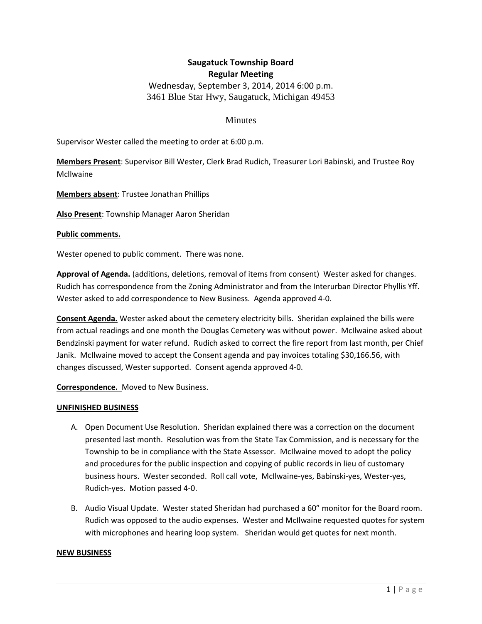# **Saugatuck Township Board Regular Meeting**

Wednesday, September 3, 2014, 2014 6:00 p.m. 3461 Blue Star Hwy, Saugatuck, Michigan 49453

# **Minutes**

Supervisor Wester called the meeting to order at 6:00 p.m.

**Members Present**: Supervisor Bill Wester, Clerk Brad Rudich, Treasurer Lori Babinski, and Trustee Roy Mcllwaine

**Members absent**: Trustee Jonathan Phillips

**Also Present**: Township Manager Aaron Sheridan

#### **Public comments.**

Wester opened to public comment. There was none.

**Approval of Agenda.** (additions, deletions, removal of items from consent) Wester asked for changes. Rudich has correspondence from the Zoning Administrator and from the Interurban Director Phyllis Yff. Wester asked to add correspondence to New Business. Agenda approved 4-0.

**Consent Agenda.** Wester asked about the cemetery electricity bills. Sheridan explained the bills were from actual readings and one month the Douglas Cemetery was without power. McIlwaine asked about Bendzinski payment for water refund. Rudich asked to correct the fire report from last month, per Chief Janik. McIlwaine moved to accept the Consent agenda and pay invoices totaling \$30,166.56, with changes discussed, Wester supported. Consent agenda approved 4-0.

**Correspondence.** Moved to New Business.

#### **UNFINISHED BUSINESS**

- A. Open Document Use Resolution. Sheridan explained there was a correction on the document presented last month. Resolution was from the State Tax Commission, and is necessary for the Township to be in compliance with the State Assessor. McIlwaine moved to adopt the policy and procedures for the public inspection and copying of public records in lieu of customary business hours. Wester seconded. Roll call vote, McIlwaine-yes, Babinski-yes, Wester-yes, Rudich-yes. Motion passed 4-0.
- B. Audio Visual Update. Wester stated Sheridan had purchased a 60" monitor for the Board room. Rudich was opposed to the audio expenses. Wester and McIlwaine requested quotes for system with microphones and hearing loop system. Sheridan would get quotes for next month.

#### **NEW BUSINESS**